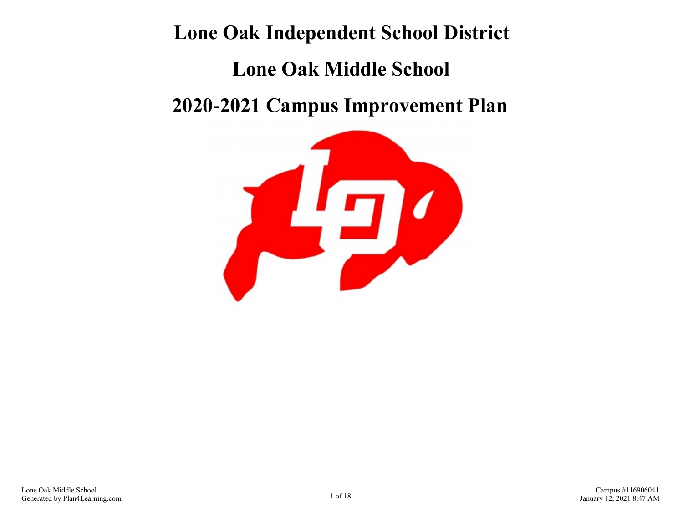# **Lone Oak Independent School District Lone Oak Middle School 2020-2021 Campus Improvement Plan**

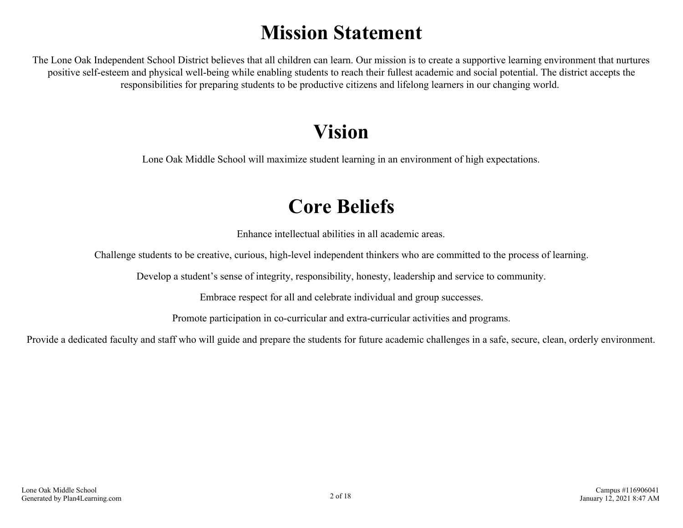# **Mission Statement**

The Lone Oak Independent School District believes that all children can learn. Our mission is to create a supportive learning environment that nurtures positive self-esteem and physical well-being while enabling students to reach their fullest academic and social potential. The district accepts the responsibilities for preparing students to be productive citizens and lifelong learners in our changing world.

# **Vision**

Lone Oak Middle School will maximize student learning in an environment of high expectations.

# **Core Beliefs**

Enhance intellectual abilities in all academic areas.

Challenge students to be creative, curious, high-level independent thinkers who are committed to the process of learning.

Develop a student's sense of integrity, responsibility, honesty, leadership and service to community.

Embrace respect for all and celebrate individual and group successes.

Promote participation in co-curricular and extra-curricular activities and programs.

Provide a dedicated faculty and staff who will guide and prepare the students for future academic challenges in a safe, secure, clean, orderly environment.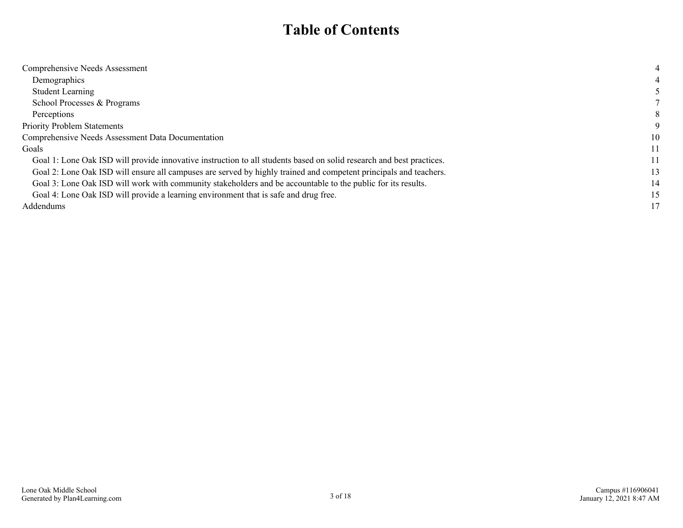### **Table of Contents**

| Comprehensive Needs Assessment                                                                                       |    |
|----------------------------------------------------------------------------------------------------------------------|----|
| Demographics                                                                                                         |    |
| <b>Student Learning</b>                                                                                              |    |
| School Processes & Programs                                                                                          |    |
| Perceptions                                                                                                          | 8  |
| <b>Priority Problem Statements</b>                                                                                   |    |
| Comprehensive Needs Assessment Data Documentation                                                                    | 10 |
| Goals                                                                                                                | 11 |
| Goal 1: Lone Oak ISD will provide innovative instruction to all students based on solid research and best practices. | 11 |
| Goal 2: Lone Oak ISD will ensure all campuses are served by highly trained and competent principals and teachers.    | 13 |
| Goal 3: Lone Oak ISD will work with community stakeholders and be accountable to the public for its results.         | 14 |
| Goal 4: Lone Oak ISD will provide a learning environment that is safe and drug free.                                 | 15 |
| Addendums                                                                                                            | 17 |
|                                                                                                                      |    |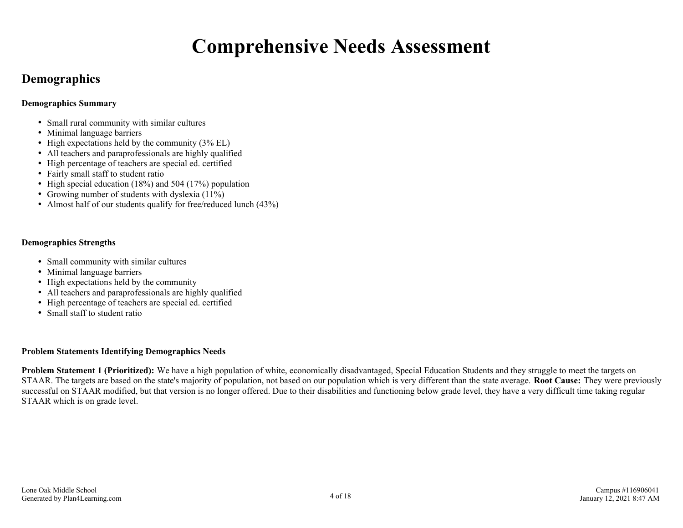# **Comprehensive Needs Assessment**

### <span id="page-3-0"></span>**Demographics**

#### **Demographics Summary**

- Small rural community with similar cultures
- Minimal language barriers
- $\bullet$  High expectations held by the community (3% EL)
- All teachers and paraprofessionals are highly qualified
- High percentage of teachers are special ed. certified
- Fairly small staff to student ratio
- High special education  $(18%)$  and 504  $(17%)$  population
- Growing number of students with dyslexia  $(11\%)$
- Almost half of our students qualify for free/reduced lunch (43%)

#### **Demographics Strengths**

- Small community with similar cultures
- Minimal language barriers
- High expectations held by the community
- All teachers and paraprofessionals are highly qualified
- High percentage of teachers are special ed. certified
- Small staff to student ratio

#### **Problem Statements Identifying Demographics Needs**

**Problem Statement 1 (Prioritized):** We have a high population of white, economically disadvantaged, Special Education Students and they struggle to meet the targets on STAAR. The targets are based on the state's majority of population, not based on our population which is very different than the state average. **Root Cause:** They were previously successful on STAAR modified, but that version is no longer offered. Due to their disabilities and functioning below grade level, they have a very difficult time taking regular STAAR which is on grade level.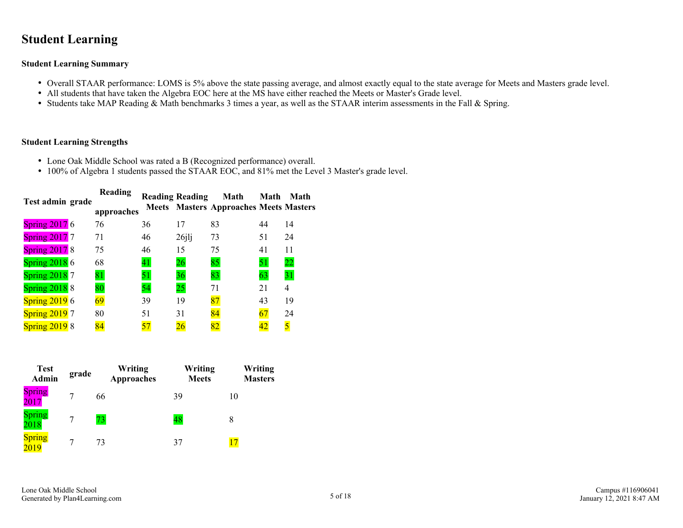### <span id="page-4-0"></span>**Student Learning**

#### **Student Learning Summary**

- Overall STAAR performance: LOMS is 5% above the state passing average, and almost exactly equal to the state average for Meets and Masters grade level.
- All students that have taken the Algebra EOC here at the MS have either reached the Meets or Master's Grade level.
- Students take MAP Reading & Math benchmarks 3 times a year, as well as the STAAR interim assessments in the Fall & Spring.

#### **Student Learning Strengths**

- Lone Oak Middle School was rated a B (Recognized performance) overall.
- 100% of Algebra 1 students passed the STAAR EOC, and 81% met the Level 3 Master's grade level.

| Test admin grade          | Reading<br>approaches |    | <b>Reading Reading</b> | Math<br><b>Meets</b> Masters Approaches Meets Masters | Math | Math            |
|---------------------------|-----------------------|----|------------------------|-------------------------------------------------------|------|-----------------|
|                           |                       |    |                        |                                                       |      |                 |
| <b>Spring 2017 6</b>      | 76                    | 36 | 17                     | 83                                                    | 44   | 14              |
| S <sub>pring</sub> 2017 7 | 71                    | 46 | $26$ jlj               | 73                                                    | 51   | 24              |
| <b>Spring 2017 8</b>      | 75                    | 46 | 15                     | 75                                                    | 41   | 11              |
| Spring $20186$            | 68                    | 41 | 26                     | 85                                                    | 51   | $\overline{22}$ |
| <b>Spring 2018 7</b>      | 81                    | 51 | 36                     | 83                                                    | 63   | 31              |
| <b>Spring 2018</b> 8      | 80                    | 54 | 25                     | 71                                                    | 21   | 4               |
| Spring $20196$            | 69                    | 39 | 19                     | 87                                                    | 43   | 19              |
| <b>Spring 2019</b> 7      | 80                    | 51 | 31                     | 84                                                    | 67   | 24              |
| <b>Spring 2019 8</b>      | 84                    |    | 26                     | 82                                                    | 42   |                 |

| <b>Test</b><br><b>Admin</b> | grade | Writing<br><b>Approaches</b> | Writing<br><b>Meets</b> | Writing<br><b>Masters</b> |
|-----------------------------|-------|------------------------------|-------------------------|---------------------------|
| <b>Spring</b><br>2017       |       | 66                           | 39                      | 10                        |
| Spring<br>2018              |       | 73.                          | 48                      | 8                         |
| <b>Spring</b><br>2019       |       | 73                           | 37                      |                           |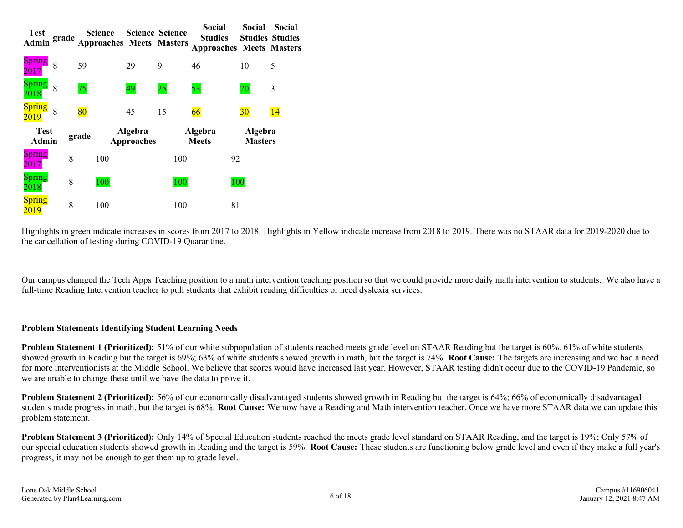| <b>Test</b><br>Admin  | grade |       | <b>Science</b><br><b>Approaches Meets Masters</b> | <b>Science Science</b>       |     | Social<br><b>Studies</b><br><b>Approaches Meets Masters</b> | Social                    | Social<br><b>Studies Studies</b> |
|-----------------------|-------|-------|---------------------------------------------------|------------------------------|-----|-------------------------------------------------------------|---------------------------|----------------------------------|
| <b>Spring</b><br>2017 | 8     | 59    |                                                   | 29                           | 9   | 46                                                          | 10                        | 5                                |
| <b>Spring</b><br>2018 | 8     | 75    |                                                   | 49                           | 25  | 53                                                          | 20                        | 3                                |
| <b>Spring</b><br>2019 | 8     | 80    |                                                   | 45                           | 15  | 66                                                          | 30                        | 14                               |
| <b>Test</b><br>Admin  |       | grade |                                                   | Algebra<br><b>Approaches</b> |     | Algebra<br><b>Meets</b>                                     | Algebra<br><b>Masters</b> |                                  |
| <b>Spring</b><br>2017 | 8     |       | 100                                               |                              | 100 |                                                             | 92                        |                                  |
| <b>Spring</b><br>2018 | 8     |       | 100                                               |                              | 100 |                                                             | 100                       |                                  |
| <b>Spring</b><br>2019 | 8     |       | 100                                               |                              | 100 |                                                             | 81                        |                                  |

Highlights in green indicate increases in scores from 2017 to 2018; Highlights in Yellow indicate increase from 2018 to 2019. There was no STAAR data for 2019-2020 due to the cancellation of testing during COVID-19 Quarantine.

Our campus changed the Tech Apps Teaching position to a math intervention teaching position so that we could provide more daily math intervention to students. We also have a full-time Reading Intervention teacher to pull students that exhibit reading difficulties or need dyslexia services.

#### **Problem Statements Identifying Student Learning Needs**

**Problem Statement 1 (Prioritized):** 51% of our white subpopulation of students reached meets grade level on STAAR Reading but the target is 60%. 61% of white students showed growth in Reading but the target is 69%; 63% of white students showed growth in math, but the target is 74%. **Root Cause:** The targets are increasing and we had a need for more interventionists at the Middle School. We believe that scores would have increased last year. However, STAAR testing didn't occur due to the COVID-19 Pandemic, so we are unable to change these until we have the data to prove it.

**Problem Statement 2 (Prioritized):** 56% of our economically disadvantaged students showed growth in Reading but the target is 64%; 66% of economically disadvantaged students made progress in math, but the target is 68%. **Root Cause:** We now have a Reading and Math intervention teacher. Once we have more STAAR data we can update this problem statement.

**Problem Statement 3 (Prioritized):** Only 14% of Special Education students reached the meets grade level standard on STAAR Reading, and the target is 19%; Only 57% of our special education students showed growth in Reading and the target is 59%. **Root Cause:** These students are functioning below grade level and even if they make a full year's progress, it may not be enough to get them up to grade level.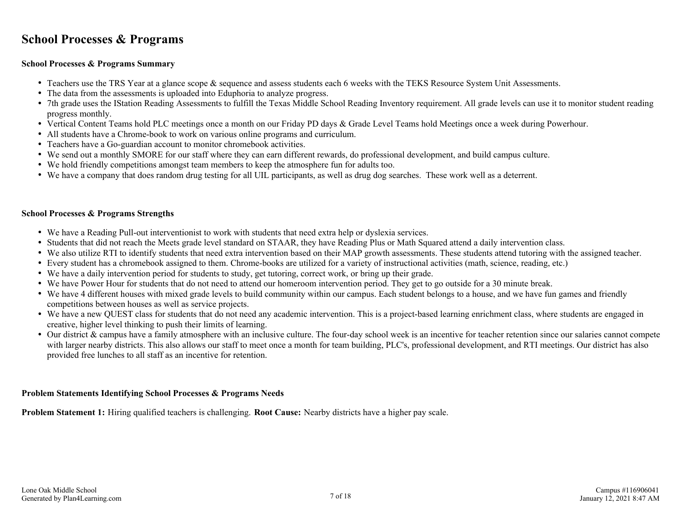### <span id="page-6-0"></span>**School Processes & Programs**

#### **School Processes & Programs Summary**

- Teachers use the TRS Year at a glance scope & sequence and assess students each 6 weeks with the TEKS Resource System Unit Assessments.
- The data from the assessments is uploaded into Eduphoria to analyze progress.
- 7th grade uses the IStation Reading Assessments to fulfill the Texas Middle School Reading Inventory requirement. All grade levels can use it to monitor student reading progress monthly.
- Vertical Content Teams hold PLC meetings once a month on our Friday PD days & Grade Level Teams hold Meetings once a week during Powerhour.
- All students have a Chrome-book to work on various online programs and curriculum.
- Teachers have a Go-guardian account to monitor chromebook activities.
- We send out a monthly SMORE for our staff where they can earn different rewards, do professional development, and build campus culture.
- We hold friendly competitions amongst team members to keep the atmosphere fun for adults too.
- We have a company that does random drug testing for all UIL participants, as well as drug dog searches. These work well as a deterrent.

#### **School Processes & Programs Strengths**

- We have a Reading Pull-out interventionist to work with students that need extra help or dyslexia services.
- Students that did not reach the Meets grade level standard on STAAR, they have Reading Plus or Math Squared attend a daily intervention class.
- We also utilize RTI to identify students that need extra intervention based on their MAP growth assessments. These students attend tutoring with the assigned teacher.
- Every student has a chromebook assigned to them. Chrome-books are utilized for a variety of instructional activities (math, science, reading, etc.)
- We have a daily intervention period for students to study, get tutoring, correct work, or bring up their grade.
- We have Power Hour for students that do not need to attend our homeroom intervention period. They get to go outside for a 30 minute break.
- We have 4 different houses with mixed grade levels to build community within our campus. Each student belongs to a house, and we have fun games and friendly competitions between houses as well as service projects.
- We have a new QUEST class for students that do not need any academic intervention. This is a project-based learning enrichment class, where students are engaged in creative, higher level thinking to push their limits of learning.
- Our district & campus have a family atmosphere with an inclusive culture. The four-day school week is an incentive for teacher retention since our salaries cannot compete with larger nearby districts. This also allows our staff to meet once a month for team building, PLC's, professional development, and RTI meetings. Our district has also provided free lunches to all staff as an incentive for retention.

#### **Problem Statements Identifying School Processes & Programs Needs**

**Problem Statement 1:** Hiring qualified teachers is challenging. **Root Cause:** Nearby districts have a higher pay scale.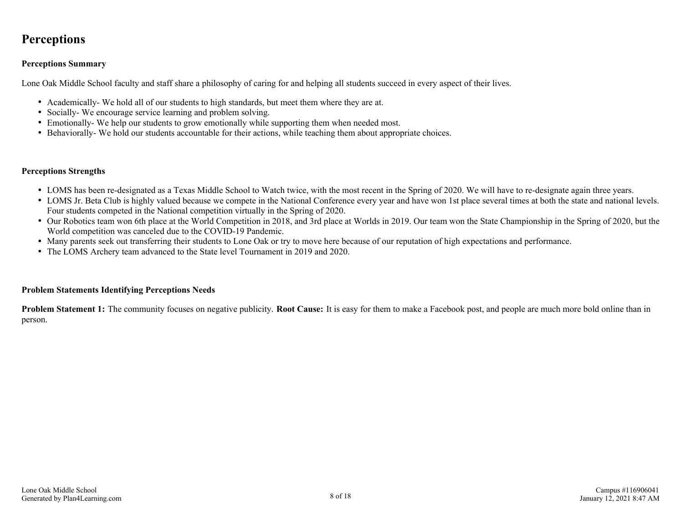### <span id="page-7-0"></span>**Perceptions**

#### **Perceptions Summary**

Lone Oak Middle School faculty and staff share a philosophy of caring for and helping all students succeed in every aspect of their lives.

- Academically- We hold all of our students to high standards, but meet them where they are at.
- Socially-We encourage service learning and problem solving.
- Emotionally- We help our students to grow emotionally while supporting them when needed most.
- Behaviorally- We hold our students accountable for their actions, while teaching them about appropriate choices.

#### **Perceptions Strengths**

- LOMS has been re-designated as a Texas Middle School to Watch twice, with the most recent in the Spring of 2020. We will have to re-designate again three years.
- LOMS Jr. Beta Club is highly valued because we compete in the National Conference every year and have won 1st place several times at both the state and national levels. Four students competed in the National competition virtually in the Spring of 2020.
- Our Robotics team won 6th place at the World Competition in 2018, and 3rd place at Worlds in 2019. Our team won the State Championship in the Spring of 2020, but the World competition was canceled due to the COVID-19 Pandemic.
- Many parents seek out transferring their students to Lone Oak or try to move here because of our reputation of high expectations and performance.
- The LOMS Archery team advanced to the State level Tournament in 2019 and 2020.

#### **Problem Statements Identifying Perceptions Needs**

**Problem Statement 1:** The community focuses on negative publicity. **Root Cause:** It is easy for them to make a Facebook post, and people are much more bold online than in person.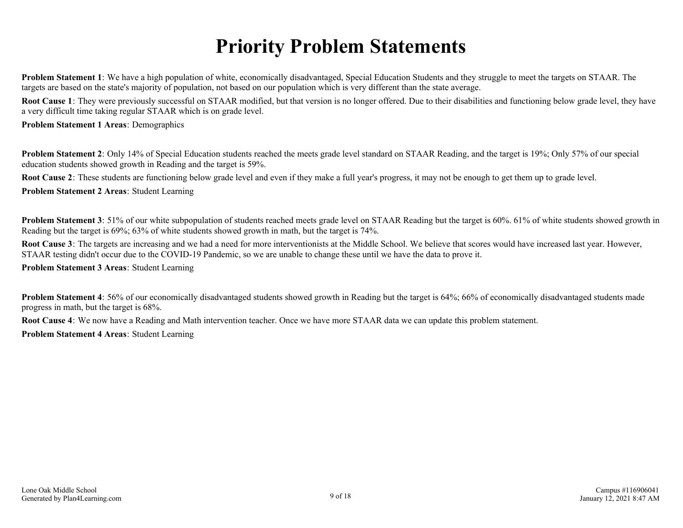# **Priority Problem Statements**

<span id="page-8-0"></span>**Problem Statement 1**: We have a high population of white, economically disadvantaged, Special Education Students and they struggle to meet the targets on STAAR. The targets are based on the state's majority of population, not based on our population which is very different than the state average.

**Root Cause 1**: They were previously successful on STAAR modified, but that version is no longer offered. Due to their disabilities and functioning below grade level, they have a very difficult time taking regular STAAR which is on grade level.

#### **Problem Statement 1 Areas**: Demographics

**Problem Statement 2**: Only 14% of Special Education students reached the meets grade level standard on STAAR Reading, and the target is 19%; Only 57% of our special education students showed growth in Reading and the target is 59%.

**Root Cause 2**: These students are functioning below grade level and even if they make a full year's progress, it may not be enough to get them up to grade level.

**Problem Statement 2 Areas**: Student Learning

**Problem Statement 3**: 51% of our white subpopulation of students reached meets grade level on STAAR Reading but the target is 60% 61% of white students showed growth in Reading but the target is 69%; 63% of white students showed growth in math, but the target is 74%.

Root Cause 3: The targets are increasing and we had a need for more interventionists at the Middle School. We believe that scores would have increased last year. However, STAAR testing didn't occur due to the COVID-19 Pandemic, so we are unable to change these until we have the data to prove it.

#### **Problem Statement 3 Areas**: Student Learning

**Problem Statement 4**: 56% of our economically disadvantaged students showed growth in Reading but the target is 64%; 66% of economically disadvantaged students made progress in math, but the target is 68%.

**Root Cause 4**: We now have a Reading and Math intervention teacher. Once we have more STAAR data we can update this problem statement.

**Problem Statement 4 Areas**: Student Learning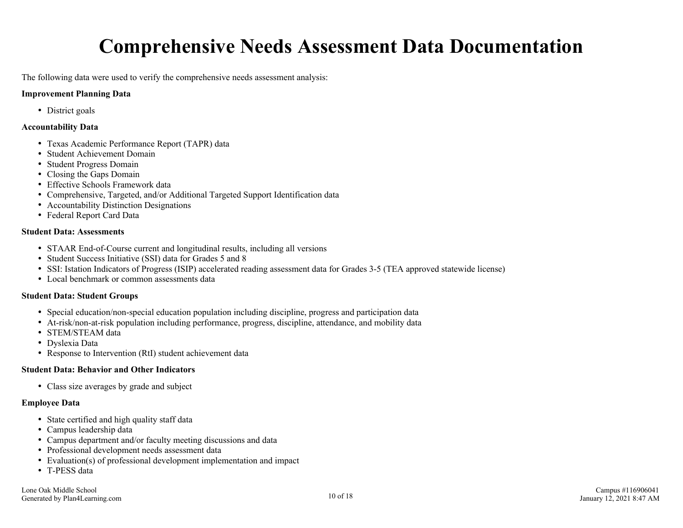# **Comprehensive Needs Assessment Data Documentation**

<span id="page-9-0"></span>The following data were used to verify the comprehensive needs assessment analysis:

#### **Improvement Planning Data**

• District goals

#### **Accountability Data**

- Texas Academic Performance Report (TAPR) data
- Student Achievement Domain
- Student Progress Domain
- Closing the Gaps Domain
- Effective Schools Framework data
- Comprehensive, Targeted, and/or Additional Targeted Support Identification data
- Accountability Distinction Designations
- Federal Report Card Data

#### **Student Data: Assessments**

- STAAR End-of-Course current and longitudinal results, including all versions
- Student Success Initiative (SSI) data for Grades 5 and 8
- SSI: Istation Indicators of Progress (ISIP) accelerated reading assessment data for Grades 3-5 (TEA approved statewide license)
- Local benchmark or common assessments data

#### **Student Data: Student Groups**

- Special education/non-special education population including discipline, progress and participation data
- At-risk/non-at-risk population including performance, progress, discipline, attendance, and mobility data
- STEM/STEAM data
- Dyslexia Data
- Response to Intervention (RtI) student achievement data

#### **Student Data: Behavior and Other Indicators**

Class size averages by grade and subject

#### **Employee Data**

- State certified and high quality staff data
- Campus leadership data
- Campus department and/or faculty meeting discussions and data
- Professional development needs assessment data
- Evaluation(s) of professional development implementation and impact
- T-PESS data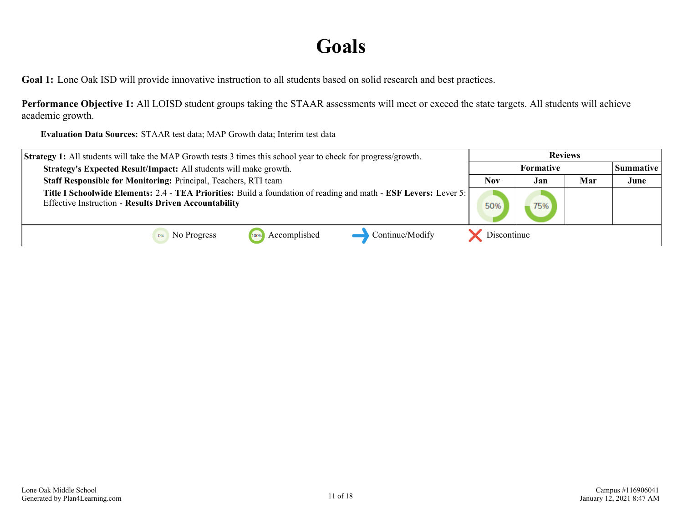### **Goals**

<span id="page-10-0"></span>**Goal 1:** Lone Oak ISD will provide innovative instruction to all students based on solid research and best practices.

**Performance Objective 1:** All LOISD student groups taking the STAAR assessments will meet or exceed the state targets. All students will achieve academic growth.

**Evaluation Data Sources:** STAAR test data; MAP Growth data; Interim test data

| <b>Strategy 1:</b> All students will take the MAP Growth tests 3 times this school year to check for progress/growth.                                                              | <b>Reviews</b> |      |     |                  |
|------------------------------------------------------------------------------------------------------------------------------------------------------------------------------------|----------------|------|-----|------------------|
| Strategy's Expected Result/Impact: All students will make growth.                                                                                                                  | Formative      |      |     | <b>Summative</b> |
| Staff Responsible for Monitoring: Principal, Teachers, RTI team                                                                                                                    | <b>Nov</b>     | Jan. | Mar | June             |
| Title I Schoolwide Elements: 2.4 - TEA Priorities: Build a foundation of reading and math - ESF Levers: Lever 5:  <br><b>Effective Instruction - Results Driven Accountability</b> | 50%            |      |     |                  |
| Continue/Modify<br>Accomplished<br><b>OW</b> No Progress<br>100%                                                                                                                   | Discontinue    |      |     |                  |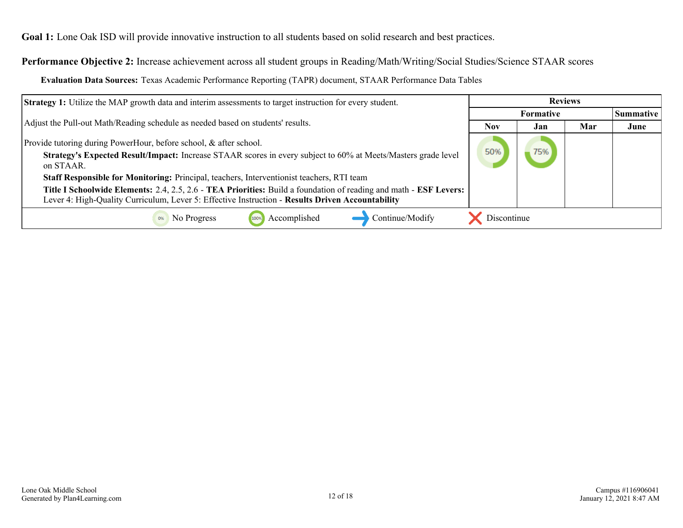**Goal 1:** Lone Oak ISD will provide innovative instruction to all students based on solid research and best practices.

**Performance Objective 2:** Increase achievement across all student groups in Reading/Math/Writing/Social Studies/Science STAAR scores

**Evaluation Data Sources:** Texas Academic Performance Reporting (TAPR) document, STAAR Performance Data Tables

| <b>Strategy 1:</b> Utilize the MAP growth data and interim assessments to target instruction for every student.                                                                                                       |             | <b>Reviews</b>   |     |      |
|-----------------------------------------------------------------------------------------------------------------------------------------------------------------------------------------------------------------------|-------------|------------------|-----|------|
|                                                                                                                                                                                                                       |             | <b>Summative</b> |     |      |
| Adjust the Pull-out Math/Reading schedule as needed based on students' results.                                                                                                                                       | <b>Nov</b>  | Jan              | Mar | June |
| Provide tutoring during PowerHour, before school, & after school.<br>Strategy's Expected Result/Impact: Increase STAAR scores in every subject to 60% at Meets/Masters grade level<br>on STAAR.                       | 50%         |                  |     |      |
| Staff Responsible for Monitoring: Principal, teachers, Interventionist teachers, RTI team                                                                                                                             |             |                  |     |      |
| Title I Schoolwide Elements: 2.4, 2.5, 2.6 - TEA Priorities: Build a foundation of reading and math - ESF Levers:<br>Lever 4: High-Quality Curriculum, Lever 5: Effective Instruction - Results Driven Accountability |             |                  |     |      |
| Accomplished<br>Continue/Modify<br>No Progress                                                                                                                                                                        | Discontinue |                  |     |      |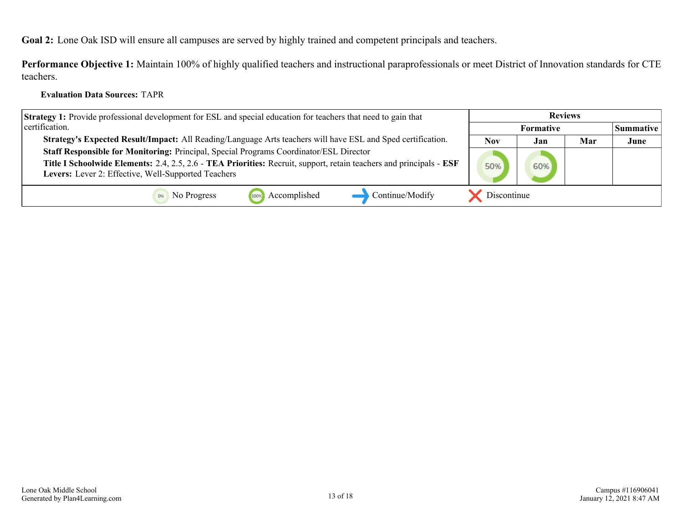<span id="page-12-0"></span>**Goal 2:** Lone Oak ISD will ensure all campuses are served by highly trained and competent principals and teachers.

**Performance Objective 1:** Maintain 100% of highly qualified teachers and instructional paraprofessionals or meet District of Innovation standards for CTE teachers.

#### **Evaluation Data Sources:** TAPR

| <b>Strategy 1:</b> Provide professional development for ESL and special education for teachers that need to gain that | <b>Reviews</b> |           |     |                  |
|-----------------------------------------------------------------------------------------------------------------------|----------------|-----------|-----|------------------|
| certification.                                                                                                        |                | Formative |     | <b>Summative</b> |
| Strategy's Expected Result/Impact: All Reading/Language Arts teachers will have ESL and Sped certification.           | <b>Nov</b>     | Jan       | Mar | June             |
| Staff Responsible for Monitoring: Principal, Special Programs Coordinator/ESL Director                                |                |           |     |                  |
| Title I Schoolwide Elements: 2.4, 2.5, 2.6 - TEA Priorities: Recruit, support, retain teachers and principals - ESF   | 50%            | 60%       |     |                  |
| Levers: Lever 2: Effective, Well-Supported Teachers                                                                   |                |           |     |                  |
| Accomplished<br>Continue/Modify<br>No Progress                                                                        | Discontinue    |           |     |                  |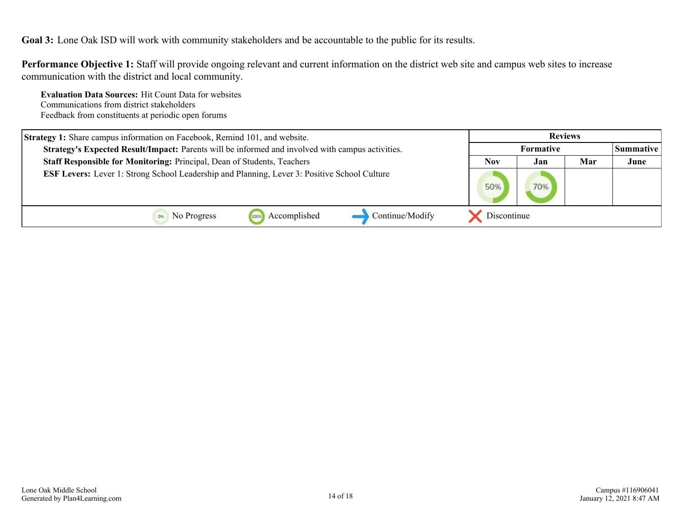<span id="page-13-0"></span>**Goal 3:** Lone Oak ISD will work with community stakeholders and be accountable to the public for its results.

**Performance Objective 1:** Staff will provide ongoing relevant and current information on the district web site and campus web sites to increase communication with the district and local community.

**Evaluation Data Sources:** Hit Count Data for websites Communications from district stakeholders Feedback from constituents at periodic open forums

| Strategy 1: Share campus information on Facebook, Remind 101, and website.                          | <b>Reviews</b> |                  |     |                  |
|-----------------------------------------------------------------------------------------------------|----------------|------------------|-----|------------------|
| Strategy's Expected Result/Impact: Parents will be informed and involved with campus activities.    |                | <b>Formative</b> |     | <b>Summative</b> |
| Staff Responsible for Monitoring: Principal, Dean of Students, Teachers                             | <b>Nov</b>     | Jan              | Mar | June             |
| <b>ESF Levers:</b> Lever 1: Strong School Leadership and Planning, Lever 3: Positive School Culture | 50%            | 70%              |     |                  |
| Accomplished<br>Continue/Modify<br>No Progress<br>1009                                              | Discontinue    |                  |     |                  |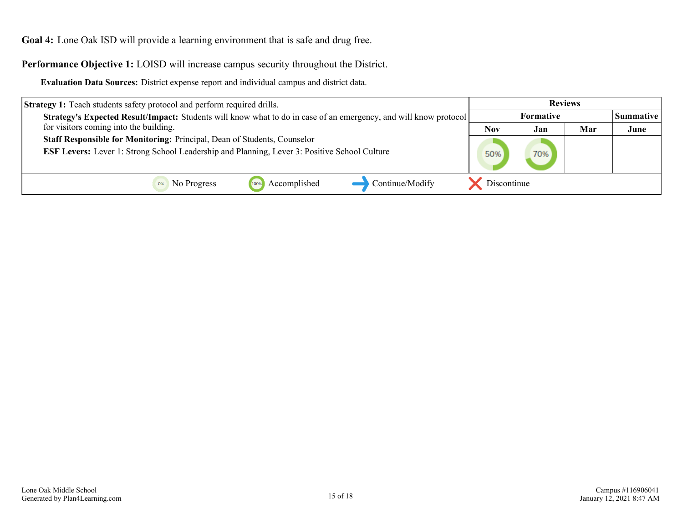<span id="page-14-0"></span>**Goal 4:** Lone Oak ISD will provide a learning environment that is safe and drug free.

**Performance Objective 1:** LOISD will increase campus security throughout the District.

**Evaluation Data Sources:** District expense report and individual campus and district data.

| <b>Strategy 1:</b> Teach students safety protocol and perform required drills.                                          | <b>Reviews</b>   |     |     |           |
|-------------------------------------------------------------------------------------------------------------------------|------------------|-----|-----|-----------|
| <b>Strategy's Expected Result/Impact:</b> Students will know what to do in case of an emergency, and will know protocol | <b>Formative</b> |     |     | Summative |
| for visitors coming into the building.                                                                                  | <b>Nov</b>       | Jan | Mar | June      |
| Staff Responsible for Monitoring: Principal, Dean of Students, Counselor                                                |                  |     |     |           |
| <b>ESF Levers:</b> Lever 1: Strong School Leadership and Planning, Lever 3: Positive School Culture                     | 50%              | 70% |     |           |
|                                                                                                                         |                  |     |     |           |
| Accomplished<br>Continue/Modify<br>No Progress<br>100%                                                                  | Discontinue      |     |     |           |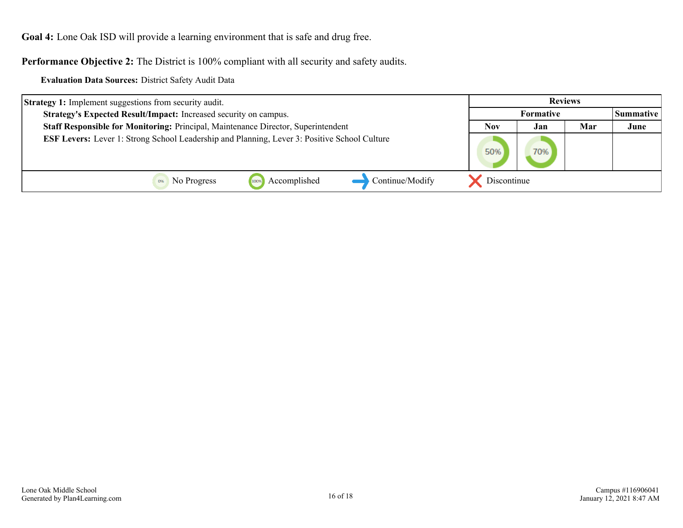**Goal 4:** Lone Oak ISD will provide a learning environment that is safe and drug free.

**Performance Objective 2:** The District is 100% compliant with all security and safety audits.

**Evaluation Data Sources:** District Safety Audit Data

| <b>Strategy 1:</b> Implement suggestions from security audit.                                       | <b>Reviews</b> |           |     |      |
|-----------------------------------------------------------------------------------------------------|----------------|-----------|-----|------|
| Strategy's Expected Result/Impact: Increased security on campus.                                    |                | Summative |     |      |
| Staff Responsible for Monitoring: Principal, Maintenance Director, Superintendent                   | <b>Nov</b>     | Jan       | Mar | June |
| <b>ESF Levers:</b> Lever 1: Strong School Leadership and Planning, Lever 3: Positive School Culture | 50%            | 70%       |     |      |
| Continue/Modify<br>Accomplished<br>No Progress<br>1009                                              | Discontinue    |           |     |      |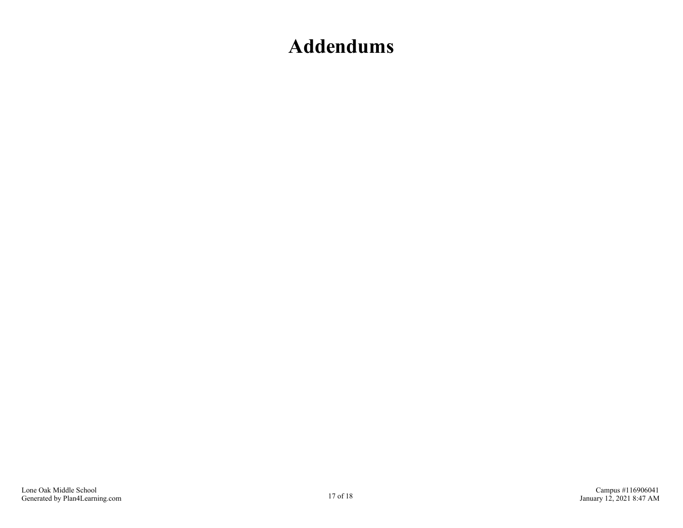## <span id="page-16-0"></span>**Addendums**